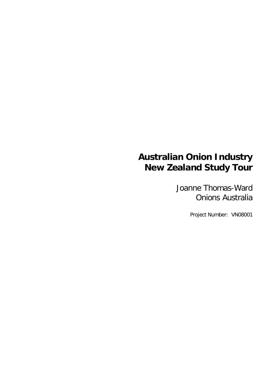# **Australian Onion Industry New Zealand Study Tour**

Joanne Thomas-Ward Onions Australia

Project Number: VN08001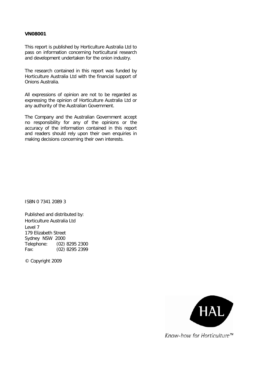#### **VN08001**

This report is published by Horticulture Australia Ltd to pass on information concerning horticultural research and development undertaken for the onion industry.

The research contained in this report was funded by Horticulture Australia Ltd with the financial support of Onions Australia.

All expressions of opinion are not to be regarded as expressing the opinion of Horticulture Australia Ltd or any authority of the Australian Government.

The Company and the Australian Government accept no responsibility for any of the opinions or the accuracy of the information contained in this report and readers should rely upon their own enquiries in making decisions concerning their own interests.

ISBN 0 7341 2089 3

Published and distributed by: Horticulture Australia Ltd Level 7 179 Elizabeth Street Sydney NSW 2000 Telephone: (02) 8295 2300 Fax: (02) 8295 2399

© Copyright 2009



Know-how for Horticulture™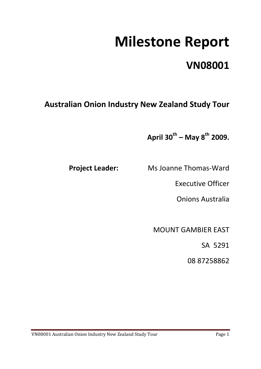# **Milestone Report VN08001**

# **Australian Onion Industry New Zealand Study Tour**

**April 30th – May 8th 2009.**

**Project Leader:** Ms Joanne Thomas-Ward

Executive Officer

Onions Australia

MOUNT GAMBIER EAST

SA 5291

08 87258862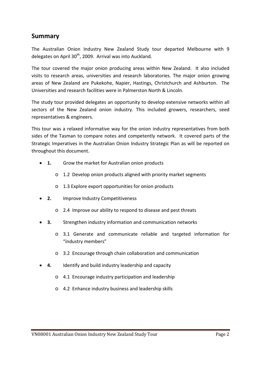# **Summary**

The Australian Onion Industry New Zealand Study tour departed Melbourne with 9 delegates on April  $30<sup>th</sup>$ , 2009. Arrival was into Auckland.

The tour covered the major onion producing areas within New Zealand. It also included visits to research areas, universities and research laboratories. The major onion growing areas of New Zealand are Pukekohe, Napier, Hastings, Christchurch and Ashburton. The Universities and research facilities were in Palmerston North & Lincoln.

The study tour provided delegates an opportunity to develop extensive networks within all sectors of the New Zealand onion industry. This included growers, researchers, seed representatives & engineers.

This tour was a relaxed informative way for the onion industry representatives from both sides of the Tasman to compare notes and competently network. It covered parts of the Strategic Imperatives in the Australian Onion Industry Strategic Plan as will be reported on throughout this document.

- **1.** Grow the market for Australian onion products
	- o 1.2 Develop onion products aligned with priority market segments
	- o 1.3 Explore export opportunities for onion products
- **2.** Improve Industry Competitiveness
	- o 2.4 Improve our ability to respond to disease and pest threats
- **3.** Strengthen industry information and communication networks
	- o 3.1 Generate and communicate reliable and targeted information for "industry members"
	- o 3.2 Encourage through chain collaboration and communication
- **4.** Identify and build industry leadership and capacity
	- o 4.1 Encourage industry participation and leadership
	- o 4.2 Enhance industry business and leadership skills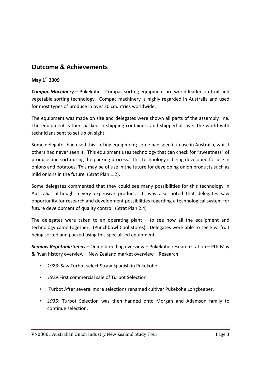# **Outcome & Achievements**

## **May 1st 2009**

*Compac Machinery* – Pukekohe - Compac sorting equipment are world leaders in fruit and vegetable sorting technology. Compac machinery is highly regarded in Australia and used for most types of produce in over 20 countries worldwide.

The equipment was made on site and delegates were shown all parts of the assembly line. The equipment is then packed in shipping containers and shipped all over the world with technicians sent to set up on sight.

Some delegates had used this sorting equipment; some had seen it in use in Australia, whilst others had never seen it. This equipment uses technology that can check for "sweetness" of produce and sort during the packing process. This technology is being developed for use in onions and potatoes. This may be of use in the future for developing onion products such as mild onions in the future. (Strat Plan 1.2).

Some delegates commented that they could see many possibilities for this technology in Australia, although a very expensive product. It was also noted that delegates saw opportunity for research and development possibilities regarding a technological system for future development of quality control. (Strat Plan 2.4)

The delegates were taken to an operating plant  $-$  to see how all the equipment and technology came together. (Punchbowl Cool stores). Delegates were able to see kiwi fruit being sorted and packed using this specialised equipment.

*Seminis Vegetable Seeds* – Onion breeding overview – Pukekohe research station – PLK May & Ryan history overview – New Zealand market overview – Research.

- *1923*: Saw Turbot select Straw Spanish in Pukekohe
- *1929*:First commercial sale of Turbot Selection
- Turbot After several more selections renamed cultivar Pukekohe Longkeeper.
- *1935*: Turbot Selection was then handed onto Morgan and Adamson family to continue selection.

VN08001 Australian Onion Industry New Zealand Study Tour Page 3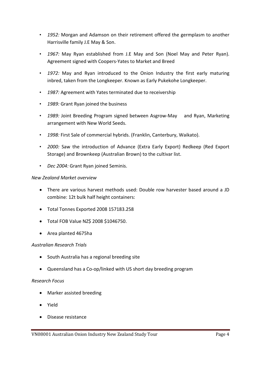- *1952:* Morgan and Adamson on their retirement offered the germplasm to another Harrisville family J.E May & Son.
- *1967:* May Ryan established from J.E May and Son (Noel May and Peter Ryan). Agreement signed with Coopers-Yates to Market and Breed
- *1972:* May and Ryan introduced to the Onion Industry the first early maturing inbred, taken from the Longkeeper. Known as Early Pukekohe Longkeeper.
- *1987:* Agreement with Yates terminated due to receivership
- *1989:* Grant Ryan joined the business
- *1989:* Joint Breeding Program signed between Asgrow-May and Ryan, Marketing arrangement with New World Seeds.
- *1998:* First Sale of commercial hybrids. (Franklin, Canterbury, Waikato).
- *2000:* Saw the introduction of Advance (Extra Early Export) Redkeep (Red Export Storage) and Brownkeep (Australian Brown) to the cultivar list.
- *Dec 2004:* Grant Ryan joined Seminis.

#### *New Zealand Market overview*

- There are various harvest methods used: Double row harvester based around a JD combine: 12t bulk half height containers:
- Total Tonnes Exported 2008 157183.258
- Total FOB Value NZ\$ 2008 \$1046750.
- Area planted 4675ha

#### *Australian Research Trials*

- South Australia has a regional breeding site
- Queensland has a Co-op/linked with US short day breeding program

#### *Research Focus*

- Marker assisted breeding
- Yield
- Disease resistance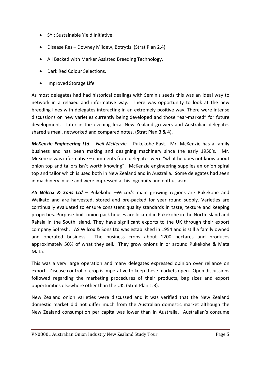- SYI: Sustainable Yield Initiative.
- Disease Res Downey Mildew, Botrytis (Strat Plan 2.4)
- All Backed with Marker Assisted Breeding Technology.
- Dark Red Colour Selections.
- Improved Storage Life

As most delegates had had historical dealings with Seminis seeds this was an ideal way to network in a relaxed and informative way. There was opportunity to look at the new breeding lines with delegates interacting in an extremely positive way. There were intense discussions on new varieties currently being developed and those "ear-marked" for future development. Later in the evening local New Zealand growers and Australian delegates shared a meal, networked and compared notes. (Strat Plan 3 & 4).

*McKenzie Engineering Ltd – Neil McKenzie –* Pukekohe East. Mr. McKenzie has a family business and has been making and designing machinery since the early 1950's. Mr. McKenzie was informative – comments from delegates were "what he does not know about onion top and tailors isn't worth knowing". McKenzie engineering supplies an onion spiral top and tailor which is used both in New Zealand and in Australia. Some delegates had seen in machinery in use and were impressed at his ingenuity and enthusiasm.

*AS Wilcox & Sons Ltd –* Pukekohe –Wilcox's main growing regions are Pukekohe and Waikato and are harvested, stored and pre-packed for year round supply. Varieties are continually evaluated to ensure consistent quality standards in taste, texture and keeping properties. Purpose-built onion pack houses are located in Pukekohe in the North Island and Rakaia in the South Island. They have significant exports to the UK through their export company Sofresh. AS Wilcox & Sons Ltd was established in 1954 and is still a family owned and operated business. The business crops about 1200 hectares and produces approximately 50% of what they sell. They grow onions in or around Pukekohe & Mata Mata.

This was a very large operation and many delegates expressed opinion over reliance on export. Disease control of crop is imperative to keep these markets open. Open discussions followed regarding the marketing procedures of their products, bag sizes and export opportunities elsewhere other than the UK. (Strat Plan 1.3).

New Zealand onion varieties were discussed and it was verified that the New Zealand domestic market did not differ much from the Australian domestic market although the New Zealand consumption per capita was lower than in Australia. Australian's consume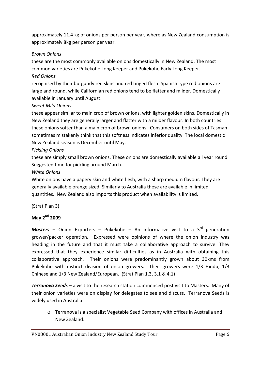approximately 11.4 kg of onions per person per year, where as New Zealand consumption is approximately 8kg per person per year.

#### *Brown Onions*

these are the most commonly available onions domestically in New Zealand. The most common varieties are Pukekohe Long Keeper and Pukekohe Early Long Keeper. *Red Onions*

recognised by their burgundy red skins and red tinged flesh. Spanish type red onions are large and round, while Californian red onions tend to be flatter and milder. Domestically available in January until August.

*Sweet Mild Onions*

these appear similar to main crop of brown onions, with lighter golden skins. Domestically in New Zealand they are generally larger and flatter with a milder flavour. In both countries these onions softer than a main crop of brown onions. Consumers on both sides of Tasman sometimes mistakenly think that this softness indicates inferior quality. The local domestic New Zealand season is December until May.

#### *Pickling Onions*

these are simply small brown onions. These onions are domestically available all year round. Suggested time for pickling around March.

#### *White Onions*

White onions have a papery skin and white flesh, with a sharp medium flavour. They are generally available orange sized. Similarly to Australia these are available in limited quantities. New Zealand also imports this product when availability is limited.

#### (Strat Plan 3)

# **May 2nd 2009**

*Masters –* Onion Exporters – Pukekohe – An informative visit to a 3<sup>rd</sup> generation grower/packer operation. Expressed were opinions of where the onion industry was heading in the future and that it must take a collaborative approach to survive. They expressed that they experience similar difficulties as in Australia with obtaining this collaborative approach. Their onions were predominantly grown about 30kms from Pukekohe with distinct division of onion growers. Their growers were 1/3 Hindu, 1/3 Chinese and 1/3 New Zealand/European. (Strat Plan 1.3, 3.1 & 4.1)

*Terranova Seeds* – a visit to the research station commenced post visit to Masters. Many of their onion varieties were on display for delegates to see and discuss. Terranova Seeds is widely used in Australia

o Terranova is a specialist Vegetable Seed Company with offices in Australia and New Zealand.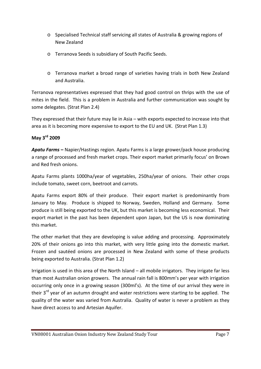- o Specialised Technical staff servicing all states of Australia & growing regions of New Zealand
- o Terranova Seeds is subsidiary of South Pacific Seeds.
- o Terranova market a broad range of varieties having trials in both New Zealand and Australia.

Terranova representatives expressed that they had good control on thrips with the use of mites in the field. This is a problem in Australia and further communication was sought by some delegates. (Strat Plan 2.4)

They expressed that their future may lie in Asia – with exports expected to increase into that area as it is becoming more expensive to export to the EU and UK. (Strat Plan 1.3)

# **May 3rd 2009**

*Apatu Farms –* Napier/Hastings region. Apatu Farms is a large grower/pack house producing a range of processed and fresh market crops. Their export market primarily focus' on Brown and Red fresh onions.

Apatu Farms plants 1000ha/year of vegetables, 250ha/year of onions. Their other crops include tomato, sweet corn, beetroot and carrots.

Apatu Farms export 80% of their produce. Their export market is predominantly from January to May. Produce is shipped to Norway, Sweden, Holland and Germany. Some produce is still being exported to the UK, but this market is becoming less economical. Their export market in the past has been dependent upon Japan, but the US is now dominating this market.

The other market that they are developing is value adding and processing. Approximately 20% of their onions go into this market, with very little going into the domestic market. Frozen and sautéed onions are processed in New Zealand with some of these products being exported to Australia. (Strat Plan 1.2)

Irrigation is used in this area of the North Island – all mobile irrigators. They irrigate far less than most Australian onion growers. The annual rain fall is 800mm's per year with irrigation occurring only once in a growing season (300ml's). At the time of our arrival they were in their  $3^{rd}$  year of an autumn drought and water restrictions were starting to be applied. The quality of the water was varied from Australia. Quality of water is never a problem as they have direct access to and Artesian Aquifer.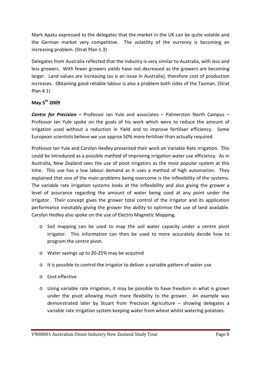Mark Apatu expressed to the delegates that the market in the UK can be quite volatile and the German market very competitive. The volatility of the currency is becoming an increasing problem. (Strat Plan 1.3)

Delegates from Australia reflected that the industry is very similar to Australia, with less and less growers. With fewer growers yields have not decreased as the growers are becoming larger. Land values are increasing (as is an issue in Australia), therefore cost of production increases. Obtaining good reliable labour is also a problem both sides of the Tasman. (Strat Plan 4.1)

# **May 5th 2009**

*Centre for Precision –* Professor Ian Yule and associates – Palmerston North Campus – Professor Ian Yule spoke on the goals of his work which were to reduce the amount of irrigation used without a reduction in Yield and to improve fertiliser efficiency. Some European scientists believe we use approx 50% more fertiliser than actually required.

Professor Ian Yule and Carolyn Hedley presented their work on Variable Rate irrigation. This could be introduced as a possible method of improving irrigation water use efficiency. As in Australia, New Zealand sees the use of pivot irrigators as the most popular system at this time. This use has a low labour demand as it uses a method of high automation. They explained that one of the main problems being overcome is the inflexibility of the systems. The variable rate irrigation systems looks at the inflexibility and also giving the grower a level of assurance regarding the amount of water being used at any point under the irrigator. Their concept gives the grower total control of the irrigator and its application performance inevitably giving the grower the ability to optimise the use of land available. Carolyn Hedley also spoke on the use of Electro Magnetic Mapping.

- o Soil mapping can be used to map the soil water capacity under a centre pivot irrigator. This information can then be used to more accurately decide how to program the centre pivot.
- o Water savings up to 20-25% may be acquired
- o It is possible to control the irrigator to deliver a variable pattern of water use
- o Cost effective
- o Using variable rate irrigation, it may be possible to have freedom in what is grown under the pivot allowing much more flexibility to the grower. An example was demonstrated later by Stuart from Precision Agriculture – showing delegates a variable rate irrigation system keeping water from wheat whilst watering potatoes.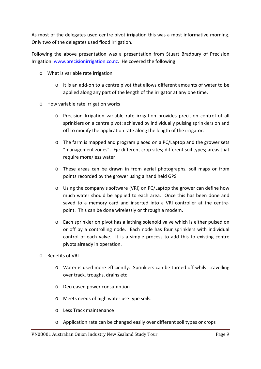As most of the delegates used centre pivot irrigation this was a most informative morning. Only two of the delegates used flood irrigation.

Following the above presentation was a presentation from Stuart Bradbury of Precision Irrigation[. www.precisionirrigation.co.nz.](http://www.precisionirrigation.co.nz/) He covered the following:

- o What is variable rate irrigation
	- o It is an add-on to a centre pivot that allows different amounts of water to be applied along any part of the length of the irrigator at any one time.
- o How variable rate irrigation works
	- o Precision Irrigation variable rate irrigation provides precision control of all sprinklers on a centre pivot: achieved by individually pulsing sprinklers on and off to modify the application rate along the length of the irrigator.
	- o The farm is mapped and program placed on a PC/Laptop and the grower sets "management zones". Eg: different crop sites; different soil types; areas that require more/less water
	- o These areas can be drawn in from aerial photographs, soil maps or from points recorded by the grower using a hand held GPS
	- o Using the company's software (VRI) on PC/Laptop the grower can define how much water should be applied to each area. Once this has been done and saved to a memory card and inserted into a VRI controller at the centrepoint. This can be done wirelessly or through a modem.
	- o Each sprinkler on pivot has a lathing solenoid valve which is either pulsed on or off by a controlling node. Each node has four sprinklers with individual control of each valve. It is a simple process to add this to existing centre pivots already in operation.
- o Benefits of VRI
	- o Water is used more efficiently. Sprinklers can be turned off whilst travelling over track, troughs, drains etc
	- o Decreased power consumption
	- o Meets needs of high water use type soils.
	- o Less Track maintenance
	- o Application rate can be changed easily over different soil types or crops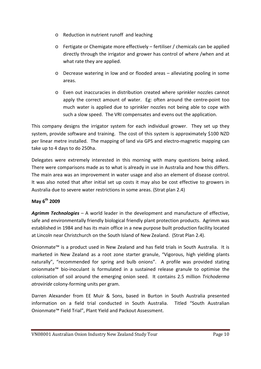- o Reduction in nutrient runoff and leaching
- o Fertigate or Chemigate more effectively fertiliser / chemicals can be applied directly through the irrigator and grower has control of where /when and at what rate they are applied.
- o Decrease watering in low and or flooded areas alleviating pooling in some areas.
- o Even out inaccuracies in distribution created where sprinkler nozzles cannot apply the correct amount of water. Eg: often around the centre-point too much water is applied due to sprinkler nozzles not being able to cope with such a slow speed. The VRI compensates and evens out the application.

This company designs the irrigator system for each individual grower. They set up they system, provide software and training. The cost of this system is approximately \$100 NZD per linear metre installed. The mapping of land via GPS and electro-magnetic mapping can take up to 4 days to do 250ha.

Delegates were extremely interested in this morning with many questions being asked. There were comparisons made as to what is already in use in Australia and how this differs. The main area was an improvement in water usage and also an element of disease control. It was also noted that after initial set up costs it may also be cost effective to growers in Australia due to severe water restrictions in some areas. (Strat plan 2.4)

# **May 6th 2009**

*Agrimm Technologies* – A world leader in the development and manufacture of effective, safe and environmentally friendly biological friendly plant protection products. Agrimm was established in 1984 and has its main office in a new purpose built production facility located at Lincoln near Christchurch on the South Island of New Zealand. (Strat Plan 2.4).

Onionmate™ is a product used in New Zealand and has field trials in South Australia. It is marketed in New Zealand as a root zone starter granule, "Vigorous, high yielding plants naturally", "recommended for spring and bulb onions". A profile was provided stating onionmate™ bio-inoculant is formulated in a sustained release granule to optimise the colonisation of soil around the emerging onion seed. It contains 2.5 million *Trichoderma atroviride* colony-forming units per gram.

Darren Alexander from EE Muir & Sons, based in Burton in South Australia presented information on a field trial conducted in South Australia. Titled "South Australian Onionmate™ Field Trial", Plant Yield and Packout Assessment.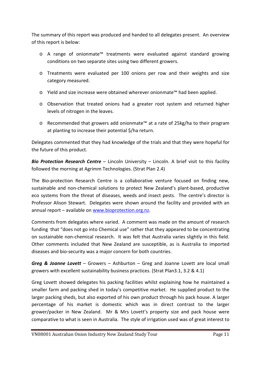The summary of this report was produced and handed to all delegates present. An overview of this report is below:

- o A range of onionmate™ treatments were evaluated against standard growing conditions on two separate sites using two different growers.
- o Treatments were evaluated per 100 onions per row and their weights and size category measured.
- o Yield and size increase were obtained wherever onionmate™ had been applied.
- o Observation that treated onions had a greater root system and returned higher levels of nitrogen in the leaves.
- o Recommended that growers add onionmate™ at a rate of 25kg/ha to their program at planting to increase their potential \$/ha return.

Delegates commented that they had knowledge of the trials and that they were hopeful for the future of this product.

*Bio Protection Research Centre* – Lincoln University – Lincoln. A brief visit to this facility followed the morning at Agrimm Technologies. (Strat Plan 2.4)

The Bio-protection Research Centre is a collaborative venture focused on finding new, sustainable and non-chemical solutions to protect New Zealand's plant-based, productive eco systems from the threat of diseases, weeds and insect pests. The centre's director is Professor Alison Stewart. Delegates were shown around the facility and provided with an annual report – available on [www.bioprotection.org.nz.](http://www.bioprotection.org.nz/)

Comments from delegates where varied. A comment was made on the amount of research funding that "does not go into Chemical use" rather that they appeared to be concentrating on sustainable non-chemical research. It was felt that Australia varies slightly in this field. Other comments included that New Zealand are susceptible, as is Australia to imported diseases and bio-security was a major concern for both countries.

*Greg & Joanne Lovett* – Growers – Ashburton – Greg and Joanne Lovett are local small growers with excellent sustainability business practices. (Strat Plan3.1, 3.2 & 4.1)

Greg Lovett showed delegates his packing facilities whilst explaining how he maintained a smaller farm and packing shed in today's competitive market. He supplied product to the larger packing sheds, but also exported of his own product through his pack house. A larger percentage of his market is domestic which was in direct contrast to the larger grower/packer in New Zealand. Mr & Mrs Lovett's property size and pack house were comparative to what is seen in Australia. The style of irrigation used was of great interest to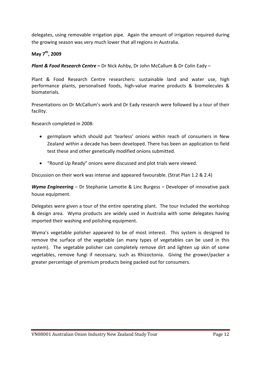delegates, using removable irrigation pipe. Again the amount of irrigation required during the growing season was very much lower that all regions in Australia.

# **May 7th, 2009**

*Plant & Food Research Centre –* Dr Nick Ashby, Dr John McCallum & Dr Colin Eady –

Plant & Food Research Centre researchers: sustainable land and water use, high performance plants, personalised foods, high-value marine products & biomolecules & biomaterials.

Presentations on Dr McCallum's work and Dr Eady research were followed by a tour of their facility.

Research completed in 2008:

- germplasm which should put 'tearless' onions within reach of consumers in New Zealand within a decade has been developed. There has been an application to field test these and other genetically modified onions submitted.
- "Round Up Ready" onions were discussed and plot trials were viewed.

Discussion on their work was intense and appeared favourable. (Strat Plan 1.2 & 2.4)

*Wyma Engineering* – Dr Stephanie Lamotte & Linc Burgess – Developer of innovative pack house equipment.

Delegates were given a tour of the entire operating plant. The tour included the workshop & design area. Wyma products are widely used in Australia with some delegates having imported their washing and polishing equipment.

Wyma's vegetable polisher appeared to be of most interest. This system is designed to remove the surface of the vegetable (an many types of vegetables can be used in this system). The vegetable polisher can completely remove dirt and lighten up skin of some vegetables, remove fungi if necessary, such as Rhizoctonia. Giving the grower/packer a greater percentage of premium products being packed out for consumers.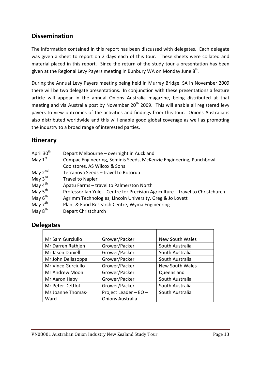# **Dissemination**

The information contained in this report has been discussed with delegates. Each delegate was given a sheet to report on 2 days each of this tour. These sheets were collated and material placed in this report. Since the return of the study tour a presentation has been given at the Regional Levy Payers meeting in Bunbury WA on Monday June  $8^{th}$ .

During the Annual Levy Payers meeting being held in Murray Bridge, SA in November 2009 there will be two delegate presentations. In conjunction with these presentations a feature article will appear in the annual Onions Australia magazine, being distributed at that meeting and via Australia post by November 20<sup>th</sup> 2009. This will enable all registered levy payers to view outcomes of the activities and findings from this tour. Onions Australia is also distributed worldwide and this will enable good global coverage as well as promoting the industry to a broad range of interested parties.

# **Itinerary**

| April 30 <sup>th</sup> | Depart Melbourne - overnight in Auckland                                       |  |
|------------------------|--------------------------------------------------------------------------------|--|
| May $1st$              | Compac Engineering, Seminis Seeds, McKenzie Engineering, Punchbowl             |  |
|                        | Coolstores, AS Wilcox & Sons                                                   |  |
| May $2^{nd}$           | Terranova Seeds - travel to Rotorua                                            |  |
| May $3rd$              | <b>Travel to Napier</b>                                                        |  |
| May $4^{\text{th}}$    | Apatu Farms - travel to Palmerston North                                       |  |
| May $5^{\text{th}}$    | Professor Ian Yule - Centre for Precision Agriculture - travel to Christchurch |  |
| May $6^{th}$           | Agrimm Technologies, Lincoln University, Greg & Jo Lovett                      |  |
| May $7th$              | Plant & Food Research Centre, Wyma Engineering                                 |  |
| May 8 <sup>th</sup>    | Depart Christchurch                                                            |  |

# **Delegates**

| Mr Sam Gurciullo   | Grower/Packer         | New South Wales |
|--------------------|-----------------------|-----------------|
| Mr Darren Rathjen  | Grower/Packer         | South Australia |
| Mr Jason Daniell   | Grower/Packer         | South Australia |
| Mr John Dellazoppa | Grower/Packer         | South Australia |
| Mr Vince Gurciullo | Grower/Packer         | New South Wales |
| Mr Andrew Moon     | Grower/Packer         | Queensland      |
| Mr Aaron Haby      | Grower/Packer         | South Australia |
| Mr Peter Dettloff  | Grower/Packer         | South Australia |
| Ms Joanne Thomas-  | Project Leader - EO - | South Australia |
| Ward               | Onions Australia      |                 |